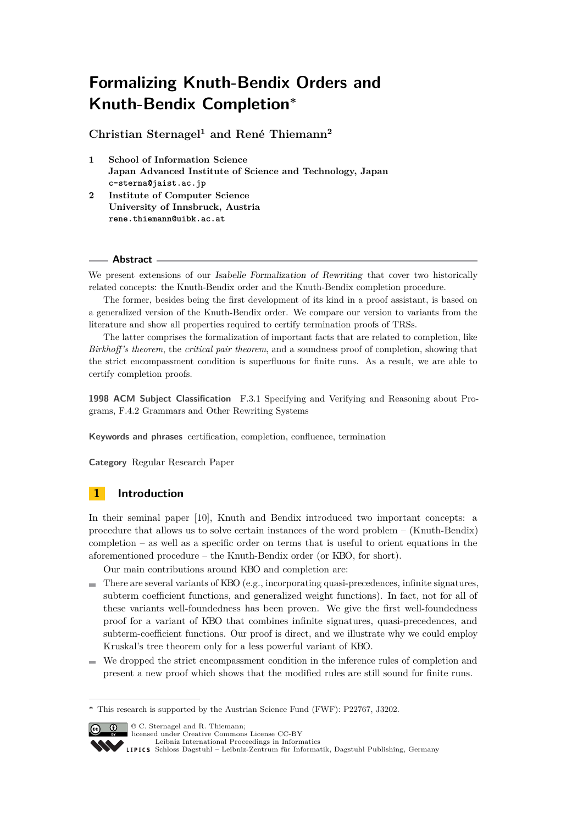# **Formalizing Knuth-Bendix Orders and Knuth-Bendix Completion<sup>∗</sup>**

**Christian Sternagel<sup>1</sup> and René Thiemann<sup>2</sup>**

- **1 School of Information Science Japan Advanced Institute of Science and Technology, Japan c-sterna@jaist.ac.jp**
- **2 Institute of Computer Science University of Innsbruck, Austria rene.thiemann@uibk.ac.at**

#### **Abstract**

We present extensions of our Isabelle Formalization of Rewriting that cover two historically related concepts: the Knuth-Bendix order and the Knuth-Bendix completion procedure.

The former, besides being the first development of its kind in a proof assistant, is based on a generalized version of the Knuth-Bendix order. We compare our version to variants from the literature and show all properties required to certify termination proofs of TRSs.

The latter comprises the formalization of important facts that are related to completion, like *Birkhoff's theorem*, the *critical pair theorem*, and a soundness proof of completion, showing that the strict encompassment condition is superfluous for finite runs. As a result, we are able to certify completion proofs.

**1998 ACM Subject Classification** F.3.1 Specifying and Verifying and Reasoning about Programs, F.4.2 Grammars and Other Rewriting Systems

**Keywords and phrases** certification, completion, confluence, termination

**Category** Regular Research Paper

## **1 Introduction**

In their seminal paper [\[10\]](#page-14-0), Knuth and Bendix introduced two important concepts: a procedure that allows us to solve certain instances of the word problem – (Knuth-Bendix) completion – as well as a specific order on terms that is useful to orient equations in the aforementioned procedure – the Knuth-Bendix order (or KBO, for short).

Our main contributions around KBO and completion are:

- There are several variants of KBO (e.g., incorporating quasi-precedences, infinite signatures,  $\blacksquare$ subterm coefficient functions, and generalized weight functions). In fact, not for all of these variants well-foundedness has been proven. We give the first well-foundedness proof for a variant of KBO that combines infinite signatures, quasi-precedences, and subterm-coefficient functions. Our proof is direct, and we illustrate why we could employ Kruskal's tree theorem only for a less powerful variant of KBO.
- We dropped the strict encompassment condition in the inference rules of completion and present a new proof which shows that the modified rules are still sound for finite runs.

**<sup>∗</sup>** This research is supported by the Austrian Science Fund (FWF): P22767, J3202.



© C. Sternagel and R. Thiemann; licensed under Creative Commons License CC-BY

[Leibniz International Proceedings in Informatics](http://www.dagstuhl.de/lipics/)

[Schloss Dagstuhl – Leibniz-Zentrum für Informatik, Dagstuhl Publishing, Germany](http://www.dagstuhl.de)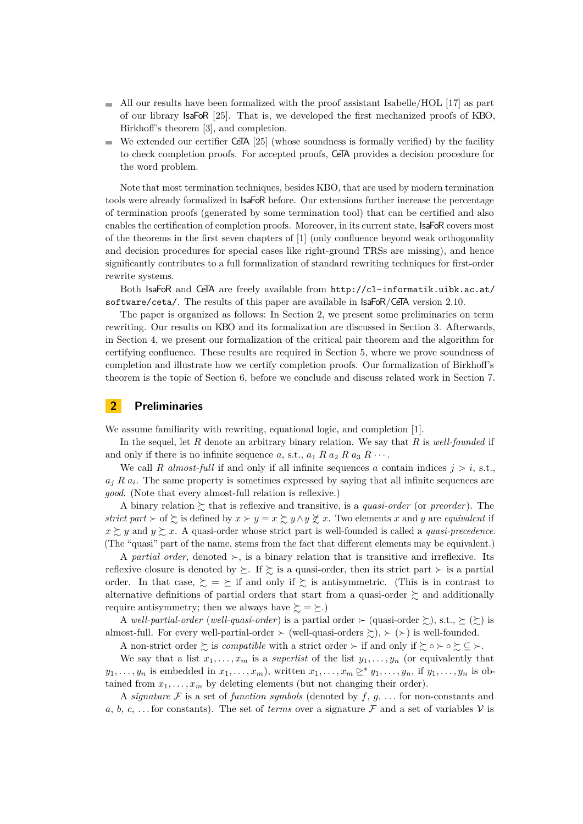- $\blacksquare$  All our results have been formalized with the proof assistant Isabelle/HOL [\[17\]](#page-14-1) as part of our library IsaFoR [\[25\]](#page-15-0). That is, we developed the first mechanized proofs of KBO, Birkhoff's theorem [\[3\]](#page-14-2), and completion.
- We extended our certifier CeTA [\[25\]](#page-15-0) (whose soundness is formally verified) by the facility to check completion proofs. For accepted proofs, CeTA provides a decision procedure for the word problem.

Note that most termination techniques, besides KBO, that are used by modern termination tools were already formalized in IsaFoR before. Our extensions further increase the percentage of termination proofs (generated by some termination tool) that can be certified and also enables the certification of completion proofs. Moreover, in its current state, IsaFoR covers most of the theorems in the first seven chapters of [\[1\]](#page-14-3) (only confluence beyond weak orthogonality and decision procedures for special cases like right-ground TRSs are missing), and hence significantly contributes to a full formalization of standard rewriting techniques for first-order rewrite systems.

Both IsaFoR and CeTA are freely available from [http://cl-informatik.uibk.ac.at/](http://cl-informatik.uibk.ac.at/software/ceta/) [software/ceta/](http://cl-informatik.uibk.ac.at/software/ceta/). The results of this paper are available in IsaFoR/CeTA version 2.10.

The paper is organized as follows: In Section [2,](#page-1-0) we present some preliminaries on term rewriting. Our results on KBO and its formalization are discussed in Section [3.](#page-2-0) Afterwards, in Section [4,](#page-7-0) we present our formalization of the critical pair theorem and the algorithm for certifying confluence. These results are required in Section [5,](#page-9-0) where we prove soundness of completion and illustrate how we certify completion proofs. Our formalization of Birkhoff's theorem is the topic of Section [6,](#page-12-0) before we conclude and discuss related work in Section [7.](#page-13-0)

#### <span id="page-1-0"></span>**2 Preliminaries**

We assume familiarity with rewriting, equational logic, and completion [\[1\]](#page-14-3).

In the sequel, let R denote an arbitrary binary relation. We say that R is *well-founded* if and only if there is no infinite sequence a, s.t.,  $a_1 R a_2 R a_3 R \cdots$ .

We call R *almost-full* if and only if all infinite sequences a contain indices  $j > i$ , s.t.,  $a_j R a_i$ . The same property is sometimes expressed by saying that all infinite sequences are *good*. (Note that every almost-full relation is reflexive.)

A binary relation  $\gtrsim$  that is reflexive and transitive, is a *quasi-order* (or *preorder*). The *strict part*  $\succ$  of  $\succ$  is defined by  $x \succ y = x \succ y \wedge y \not\subset x$ . Two elements x and y are *equivalent* if  $x \succeq y$  and  $y \succeq x$ . A quasi-order whose strict part is well-founded is called a *quasi-precedence*. (The "quasi" part of the name, stems from the fact that different elements may be equivalent.)

A *partial order*, denoted  $\succ$ , is a binary relation that is transitive and irreflexive. Its reflexive closure is denoted by  $\succeq$ . If  $\succeq$  is a quasi-order, then its strict part  $\succ$  is a partial order. In that case,  $\gtrsim$  =  $\succeq$  if and only if  $\succeq$  is antisymmetric. (This is in contrast to alternative definitions of partial orders that start from a quasi-order  $\succsim$  and additionally require antisymmetry; then we always have  $\succeq = \succeq$ .)

A *well-partial-order* (*well-quasi-order*) is a partial order  $\succ$  (quasi-order  $\succsim$ ), s.t.,  $\succeq (\succsim)$  is almost-full. For every well-partial-order  $\succ$  (well-quasi-orders  $\succsim$ ),  $\succ$  ( $\succ$ ) is well-founded.

A non-strict order  $\succsim$  is *compatible* with a strict order  $\succ$  if and only if  $\succsim \circ \succsim \subseteq \succ$ . We say that a list  $x_1, \ldots, x_m$  is a *superlist* of the list  $y_1, \ldots, y_n$  (or equivalently that  $y_1, \ldots, y_n$  is embedded in  $x_1, \ldots, x_m$ , written  $x_1, \ldots, x_m \trianglerighteq^* y_1, \ldots, y_n$ , if  $y_1, \ldots, y_n$  is obtained from  $x_1, \ldots, x_m$  by deleting elements (but not changing their order).

A *signature*  $\mathcal F$  is a set of *function symbols* (denoted by  $f, g, \ldots$  for non-constants and a, b, c, ... for constants). The set of *terms* over a signature  $\mathcal F$  and a set of variables  $\mathcal V$  is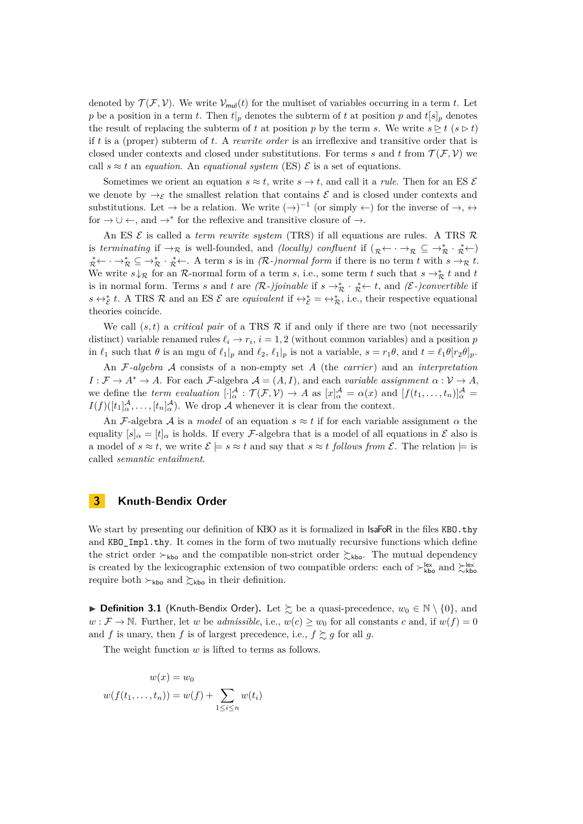denoted by  $\mathcal{T}(\mathcal{F}, \mathcal{V})$ . We write  $\mathcal{V}_{\text{mul}}(t)$  for the multiset of variables occurring in a term t. Let p be a position in a term t. Then  $t|_p$  denotes the subterm of t at position p and  $t[s]_p$  denotes the result of replacing the subterm of t at position p by the term s. We write  $s \triangleright t$  ( $s \triangleright t$ ) if t is a (proper) subterm of t. A *rewrite order* is an irreflexive and transitive order that is closed under contexts and closed under substitutions. For terms s and t from  $\mathcal{T}(\mathcal{F}, \mathcal{V})$  we call  $s \approx t$  an *equation*. An *equational system* (ES)  $\mathcal{E}$  is a set of equations.

Sometimes we orient an equation  $s \approx t$ , write  $s \to t$ , and call it a *rule*. Then for an ES  $\mathcal{E}$ we denote by  $\rightarrow \varepsilon$  the smallest relation that contains  $\varepsilon$  and is closed under contexts and substitutions. Let  $\rightarrow$  be a relation. We write  $(\rightarrow)^{-1}$  (or simply  $\leftarrow$ ) for the inverse of  $\rightarrow$ ,  $\leftrightarrow$ for  $\rightarrow \cup \leftarrow$ , and  $\rightarrow^*$  for the reflexive and transitive closure of  $\rightarrow$ .

An ES E is called a *term rewrite system* (TRS) if all equations are rules. A TRS R is *terminating* if  $\rightarrow_{\mathcal{R}}$  is well-founded, and *(locally)* confluent if  $(\mathcal{R} \leftarrow \rightarrow_{\mathcal{R}} \subseteq \rightarrow_{\mathcal{R}}^* \rightarrow_{\mathcal{R}}^* \leftarrow)$  $\mathcal{R}^* \leftarrow \mathcal{R} \subseteq \mathcal{R}^* \setminus \mathcal{R}^*$ . A term s is in  $(\mathcal{R}$ -)normal form if there is no term t with  $s \to_{\mathcal{R}} t$ . We write  $s \downarrow_{\mathcal{R}}$  for an R-normal form of a term s, i.e., some term t such that  $s \to_{\mathcal{R}}^* t$  and t is in normal form. Terms s and t are  $(R-)joinable$  if  $s \to_R^* \cdot_R^* \leftarrow t$ , and  $(\mathcal{E})$ convertible if  $s \leftrightarrow_{\mathcal{E}}^* t$ . A TRS R and an ES E are *equivalent* if  $\leftrightarrow_{\mathcal{E}}^* = \leftrightarrow_{\mathcal{R}}^*$ , i.e., their respective equational theories coincide.

We call  $(s, t)$  a *critical pair* of a TRS  $\mathcal R$  if and only if there are two (not necessarily distinct) variable renamed rules  $\ell_i \to r_i$ ,  $i = 1, 2$  (without common variables) and a position p in  $\ell_1$  such that  $\theta$  is an mgu of  $\ell_1|_p$  and  $\ell_2$ ,  $\ell_1|_p$  is not a variable,  $s = r_1\theta$ , and  $t = \ell_1\theta[r_2\theta]_p$ .

An F*-algebra* A consists of a non-empty set A (the *carrier*) and an *interpretation*  $I: \mathcal{F} \to A^* \to A$ . For each  $\mathcal{F}\text{-algebra } \mathcal{A} = (A, I)$ , and each *variable assignment*  $\alpha: \mathcal{V} \to A$ , we define the *term evaluation*  $[\cdot]_{\alpha}^{\mathcal{A}} : \mathcal{T}(\mathcal{F}, V) \to A$  as  $[x]_{\alpha}^{\mathcal{A}} = \alpha(x)$  and  $[f(t_1, \ldots, t_n)]_{\alpha}^{\mathcal{A}} =$  $I(f)([t_1]_{\alpha}^{\mathcal{A}}, \ldots, [t_n]_{\alpha}^{\mathcal{A}})$ . We drop  $\mathcal A$  whenever it is clear from the context.

An F-algebra A is a *model* of an equation  $s \approx t$  if for each variable assignment  $\alpha$  the equality  $[s]_{\alpha} = [t]_{\alpha}$  is holds. If every *F*-algebra that is a model of all equations in  $\mathcal{E}$  also is a model of  $s \approx t$ , we write  $\mathcal{E} \models s \approx t$  and say that  $s \approx t$  *follows from*  $\mathcal{E}$ . The relation  $\models$  is called *semantic entailment*.

#### <span id="page-2-0"></span>**3 Knuth-Bendix Order**

We start by presenting our definition of KBO as it is formalized in IsaFoR in the files KBO.thy and KBO\_Impl.thy. It comes in the form of two mutually recursive functions which define the strict order  $\succ_{\text{kbo}}$  and the compatible non-strict order  $\succ_{\text{kbo}}$ . The mutual dependency is created by the lexicographic extension of two compatible orders: each of  $\succ^{\text{lex}}_{\text{kbo}}$  and  $\succ^{\text{lex}}_{\text{kbo}}$ require both  $\succ_{\text{kbo}}$  and  $\succ_{\text{kbo}}$  in their definition.

**▶ Definition 3.1** (Knuth-Bendix Order). Let  $\succeq$  be a quasi-precedence,  $w_0 \in \mathbb{N} \setminus \{0\}$ , and  $w : \mathcal{F} \to \mathbb{N}$ . Further, let w be *admissible*, i.e.,  $w(c) \geq w_0$  for all constants c and, if  $w(f) = 0$ and f is unary, then f is of largest precedence, i.e.,  $f \gtrsim g$  for all g.

The weight function  $w$  is lifted to terms as follows.

$$
w(x) = w_0
$$
  

$$
w(f(t_1, \ldots, t_n)) = w(f) + \sum_{1 \le i \le n} w(t_i)
$$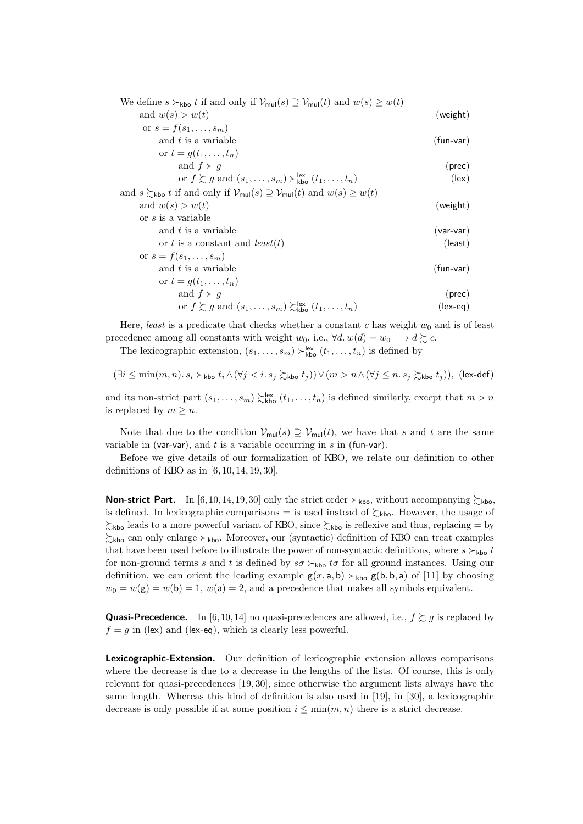| We define $s \succ_{\text{kbo}} t$ if and only if $\mathcal{V}_{\text{mul}}(s) \supseteq \mathcal{V}_{\text{mul}}(t)$ and $w(s) \geq w(t)$ |                |
|--------------------------------------------------------------------------------------------------------------------------------------------|----------------|
| and $w(s) > w(t)$                                                                                                                          | (weight)       |
| or $s = f(s_1, , s_m)$                                                                                                                     |                |
| and $t$ is a variable                                                                                                                      | $(fun-var)$    |
| or $t = g(t_1, , t_n)$                                                                                                                     |                |
| and $f \succ g$                                                                                                                            | (prec)         |
| or $f \gtrsim g$ and $(s_1, \ldots, s_m) \gtrsim_{\text{kbo}}^{\text{lex}} (t_1, \ldots, t_n)$                                             | $(\text{lex})$ |
| and $s \gtrsim_{\text{kbo}} t$ if and only if $\mathcal{V}_{\text{mul}}(s) \supseteq \mathcal{V}_{\text{mul}}(t)$ and $w(s) \geq w(t)$     |                |
| and $w(s) > w(t)$                                                                                                                          | (weight)       |
| or s is a variable                                                                                                                         |                |
| and $t$ is a variable                                                                                                                      | $(var-var)$    |
| or t is a constant and least(t)                                                                                                            | (least)        |
| or $s = f(s_1, , s_m)$                                                                                                                     |                |
| and $t$ is a variable                                                                                                                      | $(fun-var)$    |
| or $t = q(t_1, , t_n)$                                                                                                                     |                |
| and $f \succ g$                                                                                                                            | (prec)         |
| or $f \gtrsim g$ and $(s_1, \ldots, s_m) \gtrsim_{\text{kbo}}^{\text{lex}} (t_1, \ldots, t_n)$                                             | (lex-eq)       |

Here, *least* is a predicate that checks whether a constant  $c$  has weight  $w_0$  and is of least precedence among all constants with weight  $w_0$ , i.e.,  $\forall d$ .  $w(d) = w_0 \longrightarrow d \succsim c$ .

<span id="page-3-0"></span>The lexicographic extension,  $(s_1, \ldots, s_m) \succ_{\text{kbo}}^{\text{lex}} (t_1, \ldots, t_n)$  is defined by

$$
(\exists i\leq \min(m,n). \ s_i \succ_{\sf{kbo}} t_i \wedge (\forall jn \wedge (\forall j\leq n.\ s_j \succsim_{\sf{kbo}} t_j)), \ (\sf{lex-def})
$$

and its non-strict part  $(s_1, \ldots, s_m) \gtrsim_{\text{kbo}}^{\text{lex}} (t_1, \ldots, t_n)$  is defined similarly, except that  $m > n$ is replaced by  $m \geq n$ .

Note that due to the condition  $\mathcal{V}_{\text{mul}}(s) \supseteq \mathcal{V}_{\text{mul}}(t)$ , we have that s and t are the same variable in (var-var), and  $t$  is a variable occurring in  $s$  in (fun-var).

Before we give details of our formalization of KBO, we relate our definition to other definitions of KBO as in [\[6,](#page-14-4) [10,](#page-14-0) [14,](#page-14-5) [19,](#page-15-1) [30\]](#page-15-2).

**Non-strict Part.** In [\[6,](#page-14-4) [10,](#page-14-0) [14,](#page-14-5) [19,](#page-15-1) [30\]](#page-15-2) only the strict order  $\succ_{\text{kbo}}$ , without accompanying  $\succsim_{\text{kbo}}$ is defined. In lexicographic comparisons = is used instead of  $\gtrsim_{\text{kbo}}$ . However, the usage of  $\gtrsim_{kbo}$  leads to a more powerful variant of KBO, since  $\gtrsim_{kbo}$  is reflexive and thus, replacing = by  $\zeta_{\text{kbo}}$  can only enlarge  $\succ_{\text{kbo}}$ . Moreover, our (syntactic) definition of KBO can treat examples that have been used before to illustrate the power of non-syntactic definitions, where  $s \succ_{\text{kbo}} t$ for non-ground terms s and t is defined by  $s\sigma \succ_{\text{kbo}} t\sigma$  for all ground instances. Using our definition, we can orient the leading example  $g(x, a, b) \succ_{\text{kbo}} g(b, b, a)$  of [\[11\]](#page-14-6) by choosing  $w_0 = w(\mathsf{g}) = w(\mathsf{b}) = 1$ ,  $w(\mathsf{a}) = 2$ , and a precedence that makes all symbols equivalent.

**Quasi-Precedence.** In [\[6,](#page-14-4) [10,](#page-14-0) [14\]](#page-14-5) no quasi-precedences are allowed, i.e.,  $f \succeq g$  is replaced by  $f = g$  in (lex) and (lex-eq), which is clearly less powerful.

**Lexicographic-Extension.** Our definition of lexicographic extension allows comparisons where the decrease is due to a decrease in the lengths of the lists. Of course, this is only relevant for quasi-precedences [\[19,](#page-15-1) [30\]](#page-15-2), since otherwise the argument lists always have the same length. Whereas this kind of definition is also used in [\[19\]](#page-15-1), in [\[30\]](#page-15-2), a lexicographic decrease is only possible if at some position  $i \leq \min(m, n)$  there is a strict decrease.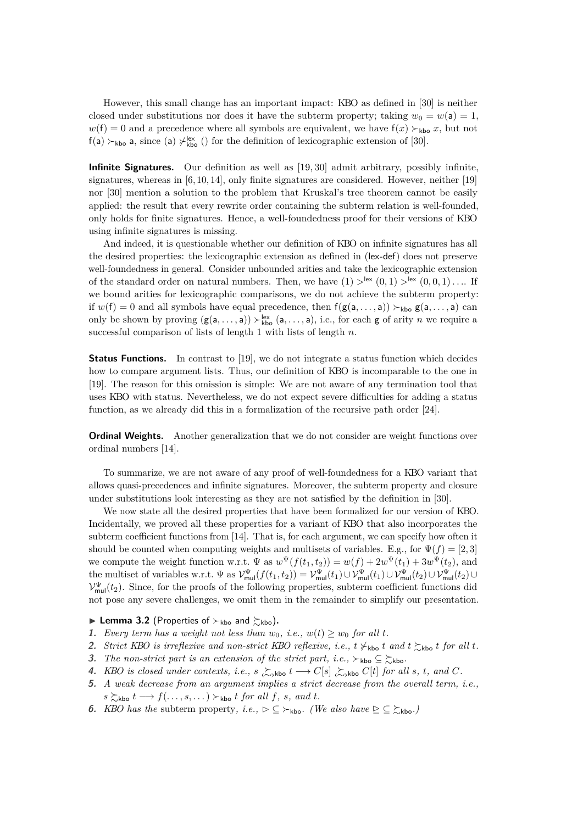However, this small change has an important impact: KBO as defined in [\[30\]](#page-15-2) is neither closed under substitutions nor does it have the subterm property; taking  $w_0 = w(\mathsf{a}) = 1$ ,  $w(f) = 0$  and a precedence where all symbols are equivalent, we have  $f(x) \succ_{\text{kbo}} x$ , but not  $f(a) \succ_{kbo} a$ , since (a)  $\neq_{kbo}^{lex}$  () for the definition of lexicographic extension of [\[30\]](#page-15-2).

**Infinite Signatures.** Our definition as well as [\[19,](#page-15-1) [30\]](#page-15-2) admit arbitrary, possibly infinite, signatures, whereas in  $[6, 10, 14]$  $[6, 10, 14]$  $[6, 10, 14]$ , only finite signatures are considered. However, neither  $[19]$ nor [\[30\]](#page-15-2) mention a solution to the problem that Kruskal's tree theorem cannot be easily applied: the result that every rewrite order containing the subterm relation is well-founded, only holds for finite signatures. Hence, a well-foundedness proof for their versions of KBO using infinite signatures is missing.

And indeed, it is questionable whether our definition of KBO on infinite signatures has all the desired properties: the lexicographic extension as defined in (lex-[def](#page-3-0)) does not preserve well-foundedness in general. Consider unbounded arities and take the lexicographic extension of the standard order on natural numbers. Then, we have  $(1) >^{\mathsf{lex}} (0,1) >^{\mathsf{lex}} (0,0,1) \ldots$  If we bound arities for lexicographic comparisons, we do not achieve the subterm property: if  $w(f) = 0$  and all symbols have equal precedence, then  $f(g(a, \ldots, a)) \succ_{kbo} g(a, \ldots, a)$  can only be shown by proving  $(g(a, \ldots, a)) \succ_{kbo}^{lex} (a, \ldots, a)$ , i.e., for each g of arity n we require a successful comparison of lists of length 1 with lists of length  $n$ .

**Status Functions.** In contrast to [\[19\]](#page-15-1), we do not integrate a status function which decides how to compare argument lists. Thus, our definition of KBO is incomparable to the one in [\[19\]](#page-15-1). The reason for this omission is simple: We are not aware of any termination tool that uses KBO with status. Nevertheless, we do not expect severe difficulties for adding a status function, as we already did this in a formalization of the recursive path order [\[24\]](#page-15-3).

**Ordinal Weights.** Another generalization that we do not consider are weight functions over ordinal numbers [\[14\]](#page-14-5).

To summarize, we are not aware of any proof of well-foundedness for a KBO variant that allows quasi-precedences and infinite signatures. Moreover, the subterm property and closure under substitutions look interesting as they are not satisfied by the definition in [\[30\]](#page-15-2).

We now state all the desired properties that have been formalized for our version of KBO. Incidentally, we proved all these properties for a variant of KBO that also incorporates the subterm coefficient functions from [\[14\]](#page-14-5). That is, for each argument, we can specify how often it should be counted when computing weights and multisets of variables. E.g., for  $\Psi(f) = [2, 3]$ we compute the weight function w.r.t.  $\Psi$  as  $w^{\Psi}(f(t_1, t_2)) = w(f) + 2w^{\Psi}(t_1) + 3w^{\Psi}(t_2)$ , and the multiset of variables w.r.t.  $\Psi$  as  $\mathcal{V}_{\text{mul}}^{\Psi}(f(t_1, t_2)) = \mathcal{V}_{\text{mul}}^{\Psi}(t_1) \cup \mathcal{V}_{\text{mul}}^{\Psi}(t_1) \cup \mathcal{V}_{\text{mul}}^{\Psi}(t_2) \cup \mathcal{V}_{\text{mul}}^{\Psi}(t_2) \cup \mathcal{V}_{\text{mul}}^{\Psi}(t_1)$  $\mathcal{V}_{\text{mul}}^{\Psi}(t_2)$ . Since, for the proofs of the following properties, subterm coefficient functions did not pose any severe challenges, we omit them in the remainder to simplify our presentation.

**Lemma 3.2** (Properties of  $\succ_{kbo}$  and  $\succsim_{kbo}$ ).

- <span id="page-4-1"></span>**1.** *Every term has a weight not less than*  $w_0$ , *i.e.*,  $w(t) \geq w_0$  *for all t.*
- <span id="page-4-4"></span>**2.** *Strict KBO is irreflexive and non-strict KBO reflexive, i.e.,*  $t \neq_{\text{kbo}} t$  *and*  $t \geq_{\text{kbo}} t$  *for all* t.
- <span id="page-4-2"></span>**3.** *The non-strict part is an extension of the strict part, i.e.,*  $\succ_{\text{kbo}} \subseteq \succ_{\text{kbo}}$ .
- **4.** *KBO is closed under contexts, i.e.,*  $s \gtrsim_{\text{skbo}} t \rightarrow C[s] \gtrsim_{\text{skbo}} C[t]$  *for all s, t, and* C.
- <span id="page-4-0"></span>**5.** *A weak decrease from an argument implies a strict decrease from the overall term, i.e.,*  $s \succsim$ kbo  $t \longrightarrow f(\ldots, s, \ldots) \succ_{\text{kbo}} t$  *for all*  $f, s, and t$ .
- <span id="page-4-3"></span>**6.** *KBO has the* subterm property, *i.e.*,  $\rho \subseteq \varepsilon_{\text{kbo}}$ *. (We also have*  $\geq \varepsilon_{\text{kbo}}$ *)*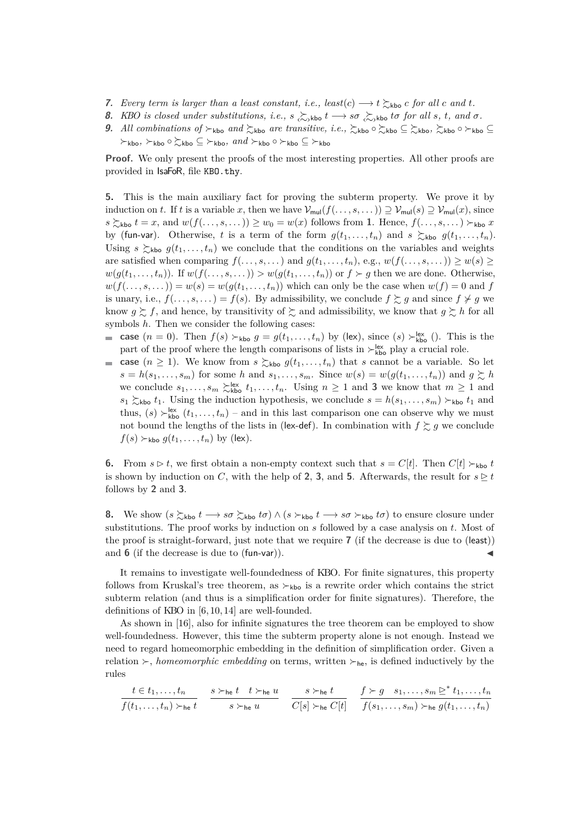- <span id="page-5-1"></span>**7.** *Every term is larger than a least constant, i.e., least(c)*  $\longrightarrow$  t  $\geq$  kbo c for all c and t.
- <span id="page-5-0"></span>**8.** *KBO is closed under substitutions, i.e.,*  $s \gtrsim_{\text{skbo}} t \to s\sigma \gtrsim_{\text{skbo}} t\sigma$  *for all* s, t, and  $\sigma$ .
- **9.** All combinations of  $\succ$ <sub>kbo</sub> and  $\succsim$ <sub>kbo</sub> are transitive, i.e.,  $\succsim$ <sub>kbo</sub>  $\circ \succsim$ <sub>kbo</sub>  $\sim \succsim$ <sub>kbo</sub>  $\circ \succsim$ <sub>kbo</sub> ⊆  $\succ$ kbo,  $\succ$ kbo ○  $\succsim$ kbo ⊆  $\succ$ kbo,  $and \succ$ kbo ○  $\succ$ kbo ⊆  $\succ$ kbo

**Proof.** We only present the proofs of the most interesting properties. All other proofs are provided in IsaFoR, file KBO.thy.

**[5.](#page-4-0)** This is the main auxiliary fact for proving the subterm property. We prove it by induction on t. If t is a variable x, then we have  $\mathcal{V}_{mul}(f(\ldots, s, \ldots)) \supseteq \mathcal{V}_{mul}(s) \supseteq \mathcal{V}_{mul}(x)$ , since  $s \succsim_{\text{kbo}} t = x$ , and  $w(f(\ldots, s, \ldots)) \geq w_0 = w(x)$  follows from [1](#page-4-1). Hence,  $f(\ldots, s, \ldots) \succ_{\text{kbo}} x$ by (fun-var). Otherwise, t is a term of the form  $g(t_1, \ldots, t_n)$  and  $s \geq \kappa$   $(g(t_1, \ldots, t_n))$ . Using  $s \succeq_{\text{kbo}} g(t_1, \ldots, t_n)$  we conclude that the conditions on the variables and weights are satisfied when comparing  $f(\ldots, s, \ldots)$  and  $g(t_1, \ldots, t_n)$ , e.g.,  $w(f(\ldots, s, \ldots)) \geq w(s) \geq$  $w(g(t_1, \ldots, t_n))$ . If  $w(f(\ldots, s, \ldots)) > w(g(t_1, \ldots, t_n))$  or  $f \succ g$  then we are done. Otherwise,  $w(f(\ldots, s, \ldots)) = w(s) = w(g(t_1, \ldots, t_n))$  which can only be the case when  $w(f) = 0$  and f is unary, i.e.,  $f(\ldots, s, \ldots) = f(s)$ . By admissibility, we conclude  $f \succsim g$  and since  $f \not\succ g$  we know  $g \gtrsim f$ , and hence, by transitivity of  $\gtrsim$  and admissibility, we know that  $g \gtrsim h$  for all symbols  $h$ . Then we consider the following cases:

- **case**  $(n = 0)$ . Then  $f(s) \succ_{\text{kbo}} g = g(t_1, \ldots, t_n)$  by (lex), since  $(s) \succ_{\text{kbo}}^{\text{lex}} ()$ . This is the part of the proof where the length comparisons of lists in  $\succ_{\text{kbo}}^{\text{lex}}$  play a crucial role.
- **case**  $(n \geq 1)$ . We know from  $s \succsim_{\text{kbo}} g(t_1, \ldots, t_n)$  that s cannot be a variable. So let  $\blacksquare$  $s = h(s_1, \ldots, s_m)$  for some h and  $s_1, \ldots, s_m$ . Since  $w(s) = w(g(t_1, \ldots, t_n))$  and  $g \succcurlyeq h$ we conclude  $s_1, \ldots, s_m \ge_{\text{kbo}}^{\text{lex}} t_1, \ldots, t_n$ . Using  $n \geq 1$  and **[3](#page-4-2)** we know that  $m \geq 1$  and  $s_1 \gtrsim_{\text{kbo}} t_1$ . Using the induction hypothesis, we conclude  $s = h(s_1, \ldots, s_m) \succ_{\text{kbo}} t_1$  and thus,  $(s) \succ_{\text{kbo}}^{\text{lex}} (t_1, \ldots, t_n)$  – and in this last comparison one can observe why we must not bound the lengths of the lists in (lex-[def](#page-3-0)). In combination with  $f \gtrsim g$  we conclude  $f(s) \succ_{\text{kbo}} g(t_1, \ldots, t_n)$  by (lex).

**[6.](#page-4-3)** From  $s \triangleright t$ , we first obtain a non-empty context such that  $s = C[t]$ . Then  $C[t] \succ_{\text{kbo}} t$ is shown by induction on C, with the help of [2](#page-4-4), [3](#page-4-2), and [5](#page-4-0). Afterwards, the result for  $s \ge t$ follows by **[2](#page-4-4)** and **[3](#page-4-2)**.

**[8.](#page-5-0)** We show  $(s \succsim_{k_{\text{bo}}} t \rightarrow s\sigma \succsim_{k_{\text{bo}}} t\sigma) \wedge (s \succsim_{k_{\text{bo}}} t \rightarrow s\sigma \succsim_{k_{\text{bo}}} t\sigma)$  to ensure closure under substitutions. The proof works by induction on  $s$  followed by a case analysis on  $t$ . Most of the proof is straight-forward, just note that we require **[7](#page-5-1)** (if the decrease is due to (least)) and  $\bf{6}$  $\bf{6}$  $\bf{6}$  (if the decrease is due to  $(\text{fun-var})$ ).

It remains to investigate well-foundedness of KBO. For finite signatures, this property follows from Kruskal's tree theorem, as  $\succ_{\text{kbo}}$  is a rewrite order which contains the strict subterm relation (and thus is a simplification order for finite signatures). Therefore, the definitions of KBO in [\[6,](#page-14-4) [10,](#page-14-0) [14\]](#page-14-5) are well-founded.

As shown in [\[16\]](#page-14-7), also for infinite signatures the tree theorem can be employed to show well-foundedness. However, this time the subterm property alone is not enough. Instead we need to regard homeomorphic embedding in the definition of simplification order. Given a relation  $\succ$ , *homeomorphic embedding* on terms, written  $\succ$ <sub>he</sub>, is defined inductively by the rules

$$
\frac{t \in t_1, \ldots, t_n}{f(t_1, \ldots, t_n) \succ_{\text{he}} t} \quad \frac{s \succ_{\text{he}} t \quad t \succ_{\text{he}} u}{s \succ_{\text{he}} u} \quad \frac{s \succ_{\text{he}} t}{C[s] \succ_{\text{he}} C[t]} \quad \frac{f \succ g \quad s_1, \ldots, s_m \geq^* t_1, \ldots, t_n}{f(s_1, \ldots, s_m) \succ_{\text{he}} g(t_1, \ldots, t_n)}
$$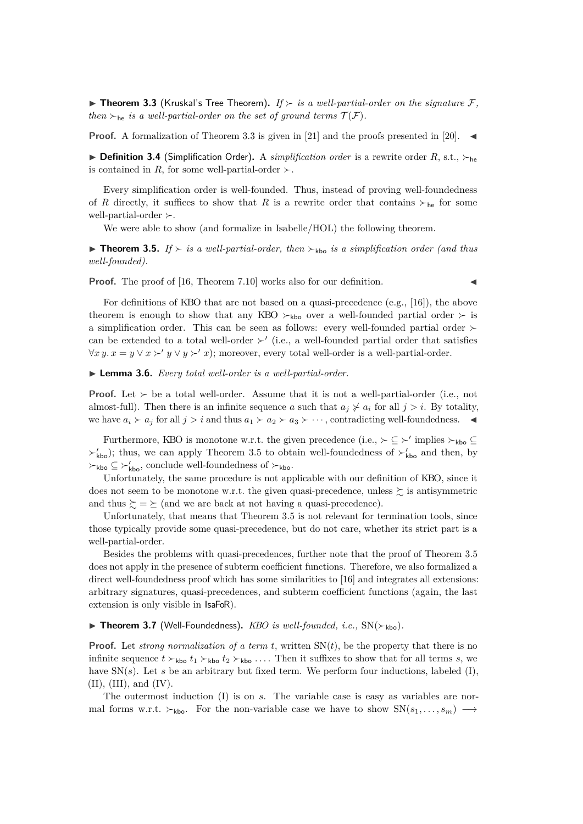<span id="page-6-0"></span>**If Theorem 3.3** (Kruskal's Tree Theorem). If  $\succ$  is a well-partial-order on the signature  $\mathcal{F}$ , *then*  $\succ_{he}$  *is a well-partial-order on the set of ground terms*  $\mathcal{T}(\mathcal{F})$ *.* 

**Proof.** A formalization of Theorem [3.3](#page-6-0) is given in [\[21\]](#page-15-4) and the proofs presented in [\[20\]](#page-15-5).

**Definition 3.4** (Simplification Order). A *simplification order* is a rewrite order R, s.t.,  $\succ_{he}$ is contained in R, for some well-partial-order  $\succ$ .

Every simplification order is well-founded. Thus, instead of proving well-foundedness of R directly, it suffices to show that R is a rewrite order that contains  $\succ_{he}$  for some well-partial-order  $\succ$ .

We were able to show (and formalize in Isabelle/HOL) the following theorem.

<span id="page-6-1"></span>**Findmer 1.5.** If  $\succ$  *is a well-partial-order, then*  $\succ$ <sub>kbo</sub> *is a simplification order (and thus well-founded).*

**Proof.** The proof of [\[16,](#page-14-7) Theorem 7.10] works also for our definition.

For definitions of KBO that are not based on a quasi-precedence (e.g., [\[16\]](#page-14-7)), the above theorem is enough to show that any KBO  $\succ_{\text{kbo}}$  over a well-founded partial order  $\succ$  is a simplification order. This can be seen as follows: every well-founded partial order  $\succ$ can be extended to a total well-order  $\succ'$  (i.e., a well-founded partial order that satisfies  $\forall x \, y \ldots x = y \lor x \succ' y \lor y \succ' x$ ; moreover, every total well-order is a well-partial-order.

I **Lemma 3.6.** *Every total well-order is a well-partial-order.*

**Proof.** Let  $\succ$  be a total well-order. Assume that it is not a well-partial-order (i.e., not almost-full). Then there is an infinite sequence a such that  $a_j \nless a_i$  for all  $j > i$ . By totality, we have  $a_i \succ a_j$  for all  $j > i$  and thus  $a_1 \succ a_2 \succ a_3 \succ \cdots$ , contradicting well-foundedness.

Furthermore, KBO is monotone w.r.t. the given precedence (i.e.,  $\succ \subseteq \succ'$  implies  $\succ_{\text{kbo}} \subseteq$  $\succ'_{\text{kbo}}$ ; thus, we can apply Theorem [3.5](#page-6-1) to obtain well-foundedness of  $\succ'_{\text{kbo}}$  and then, by  $\succ_{\sf kbo}$  ⊆  $\succ'_{\sf kbo}$ , conclude well-foundedness of  $\succ_{\sf kbo}$ .

Unfortunately, the same procedure is not applicable with our definition of KBO, since it does not seem to be monotone w.r.t. the given quasi-precedence, unless  $\succeq$  is antisymmetric and thus  $\succeq = \succeq$  (and we are back at not having a quasi-precedence).

Unfortunately, that means that Theorem [3.5](#page-6-1) is not relevant for termination tools, since those typically provide some quasi-precedence, but do not care, whether its strict part is a well-partial-order.

Besides the problems with quasi-precedences, further note that the proof of Theorem [3.5](#page-6-1) does not apply in the presence of subterm coefficient functions. Therefore, we also formalized a direct well-foundedness proof which has some similarities to [\[16\]](#page-14-7) and integrates all extensions: arbitrary signatures, quasi-precedences, and subterm coefficient functions (again, the last extension is only visible in IsaFoR).

#### $\triangleright$  **Theorem 3.7** (Well-Foundedness). *KBO is well-founded, i.e.,* SN( $\succ$ <sub>kbo</sub>).

**Proof.** Let *strong normalization of a term t*, written  $SN(t)$ , be the property that there is no infinite sequence  $t \succ_{\text{kbo}} t_1 \succ_{\text{kbo}} t_2 \succ_{\text{kbo}} \ldots$  Then it suffixes to show that for all terms s, we have  $SN(s)$ . Let s be an arbitrary but fixed term. We perform four inductions, labeled (I),  $(II)$ ,  $(III)$ , and  $(IV)$ .

The outermost induction (I) is on s. The variable case is easy as variables are normal forms w.r.t.  $\succ_{kbo}$ . For the non-variable case we have to show  $SN(s_1, \ldots, s_m) \longrightarrow$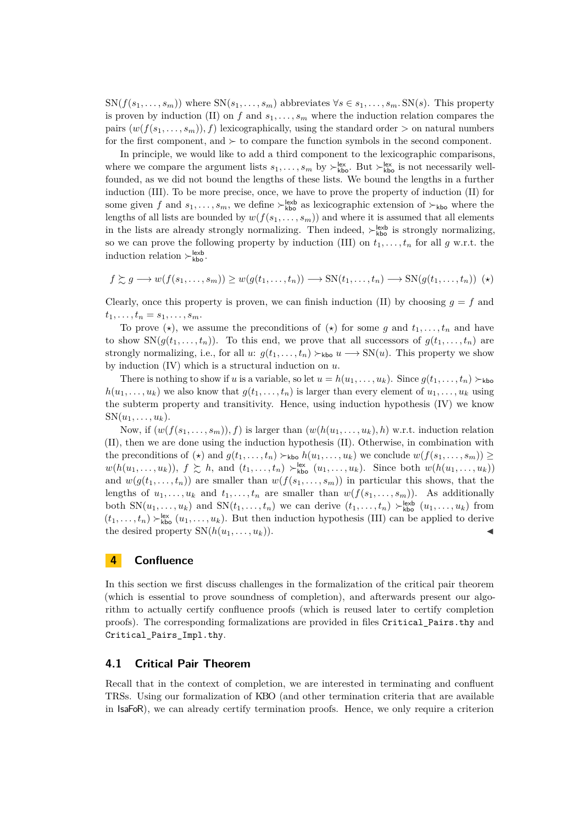$\text{SN}(f(s_1, \ldots, s_m))$  where  $\text{SN}(s_1, \ldots, s_m)$  abbreviates  $\forall s \in s_1, \ldots, s_m$ .  $\text{SN}(s)$ . This property is proven by induction (II) on f and  $s_1, \ldots, s_m$  where the induction relation compares the pairs  $(w(f(s_1, \ldots, s_m)), f)$  lexicographically, using the standard order  $>$  on natural numbers for the first component, and  $\succ$  to compare the function symbols in the second component.

In principle, we would like to add a third component to the lexicographic comparisons, where we compare the argument lists  $s_1, \ldots, s_m$  by  $\succ^{\text{lex}}_{\text{kbo}}$ . But  $\succ^{\text{lex}}_{\text{kbo}}$  is not necessarily wellfounded, as we did not bound the lengths of these lists. We bound the lengths in a further induction (III). To be more precise, once, we have to prove the property of induction (II) for some given f and  $s_1, \ldots, s_m$ , we define  $\succ_{\text{kbo}}^{\text{lexb}}$  as lexicographic extension of  $\succ_{\text{kbo}}$  where the lengths of all lists are bounded by  $w(f(s_1, \ldots, s_m))$  and where it is assumed that all elements in the lists are already strongly normalizing. Then indeed,  $\succ_{\text{kbo}}^{\text{lexb}}$  is strongly normalizing, so we can prove the following property by induction (III) on  $t_1, \ldots, t_n$  for all g w.r.t. the induction relation  $\succ^{\text{lexb}}_{\text{kbo}}$ .

<span id="page-7-1"></span>
$$
f \gtrsim g \longrightarrow w(f(s_1, \ldots, s_m)) \ge w(g(t_1, \ldots, t_n)) \longrightarrow SN(t_1, \ldots, t_n) \longrightarrow SN(g(t_1, \ldots, t_n))
$$
 (\*)

Clearly, once this property is proven, we can finish induction (II) by choosing  $q = f$  and  $t_1, \ldots, t_n = s_1, \ldots, s_m.$ 

To prove  $(\star)$ , we assume the preconditions of  $(\star)$  for some g and  $t_1, \ldots, t_n$  and have to show  $\text{SN}(g(t_1, \ldots, t_n))$ . To this end, we prove that all successors of  $g(t_1, \ldots, t_n)$  are strongly normalizing, i.e., for all u:  $g(t_1, \ldots, t_n) \succ_{\text{kbo}} u \longrightarrow SN(u)$ . This property we show by induction  $(IV)$  which is a structural induction on  $u$ .

There is nothing to show if u is a variable, so let  $u = h(u_1, \ldots, u_k)$ . Since  $g(t_1, \ldots, t_n) \succ_{\text{kbo}}$  $h(u_1, \ldots, u_k)$  we also know that  $g(t_1, \ldots, t_n)$  is larger than every element of  $u_1, \ldots, u_k$  using the subterm property and transitivity. Hence, using induction hypothesis (IV) we know  $SN(u_1, \ldots, u_k)$ .

Now, if  $(w(f(s_1, \ldots, s_m)), f)$  is larger than  $(w(h(u_1, \ldots, u_k), h)$  w.r.t. induction relation (II), then we are done using the induction hypothesis (II). Otherwise, in combination with the preconditions of  $(\star)$  and  $g(t_1, \ldots, t_n) \succ_{\text{kbo}} h(u_1, \ldots, u_k)$  we conclude  $w(f(s_1, \ldots, s_m)) \ge$  $w(h(u_1,\ldots,u_k)), f \succsim h$ , and  $(t_1,\ldots,t_n) \succ_{\text{kbo}}^{\text{lex}} (u_1,\ldots,u_k)$ . Since both  $w(h(u_1,\ldots,u_k))$ and  $w(g(t_1, \ldots, t_n))$  are smaller than  $w(f(s_1, \ldots, s_m))$  in particular this shows, that the lengths of  $u_1, \ldots, u_k$  and  $t_1, \ldots, t_n$  are smaller than  $w(f(s_1, \ldots, s_m))$ . As additionally both  $SN(u_1, \ldots, u_k)$  and  $SN(t_1, \ldots, t_n)$  we can derive  $(t_1, \ldots, t_n) \succ_{\text{kbo}}^{\text{lexb}} (u_1, \ldots, u_k)$  from  $(t_1, \ldots, t_n) \succ_{\text{kbo}}^{\text{lex}} (u_1, \ldots, u_k)$ . But then induction hypothesis (III) can be applied to derive the desired property  $SN(h(u_1, \ldots, u_k))$ .

## <span id="page-7-0"></span>**4 Confluence**

In this section we first discuss challenges in the formalization of the critical pair theorem (which is essential to prove soundness of completion), and afterwards present our algorithm to actually certify confluence proofs (which is reused later to certify completion proofs). The corresponding formalizations are provided in files Critical\_Pairs.thy and Critical\_Pairs\_Impl.thy.

#### **4.1 Critical Pair Theorem**

Recall that in the context of completion, we are interested in terminating and confluent TRSs. Using our formalization of KBO (and other termination criteria that are available in IsaFoR), we can already certify termination proofs. Hence, we only require a criterion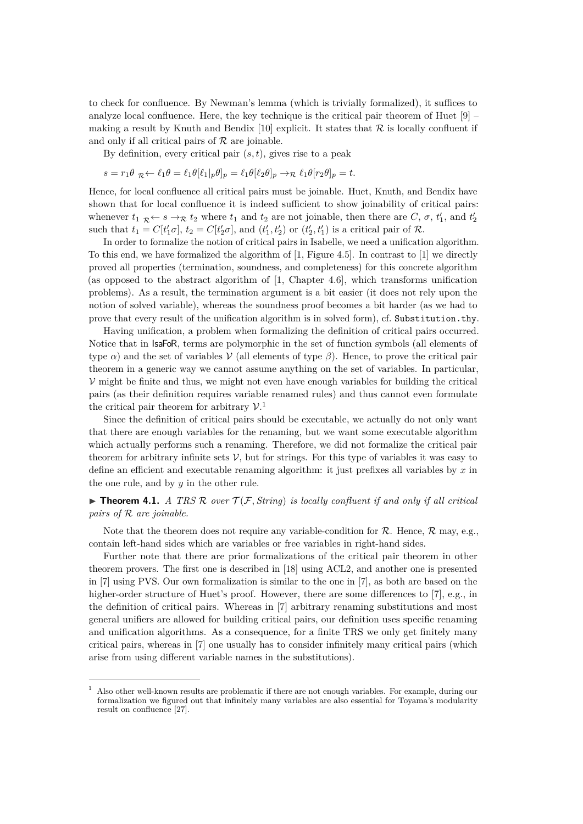to check for confluence. By Newman's lemma (which is trivially formalized), it suffices to analyze local confluence. Here, the key technique is the critical pair theorem of Huet [\[9\]](#page-14-8) – making a result by Knuth and Bendix [\[10\]](#page-14-0) explicit. It states that  $\mathcal R$  is locally confluent if and only if all critical pairs of  $R$  are joinable.

By definition, every critical pair  $(s, t)$ , gives rise to a peak

$$
s = r_1 \theta \mathbb{R} \leftarrow \ell_1 \theta = \ell_1 \theta [\ell_1|_p \theta]_p = \ell_1 \theta [\ell_2 \theta]_p \rightarrow \mathbb{R} \ell_1 \theta [r_2 \theta]_p = t.
$$

Hence, for local confluence all critical pairs must be joinable. Huet, Knuth, and Bendix have shown that for local confluence it is indeed sufficient to show joinability of critical pairs: whenever  $t_1 \nvert_R \leftarrow s \rightarrow_R t_2$  where  $t_1$  and  $t_2$  are not joinable, then there are C,  $\sigma$ ,  $t'_1$ , and  $t'_2$ such that  $t_1 = C[t'_1 \sigma], t_2 = C[t'_2 \sigma],$  and  $(t'_1, t'_2)$  or  $(t'_2, t'_1)$  is a critical pair of R.

In order to formalize the notion of critical pairs in Isabelle, we need a unification algorithm. To this end, we have formalized the algorithm of [\[1,](#page-14-3) Figure 4.5]. In contrast to [\[1\]](#page-14-3) we directly proved all properties (termination, soundness, and completeness) for this concrete algorithm (as opposed to the abstract algorithm of [\[1,](#page-14-3) Chapter 4.6], which transforms unification problems). As a result, the termination argument is a bit easier (it does not rely upon the notion of solved variable), whereas the soundness proof becomes a bit harder (as we had to prove that every result of the unification algorithm is in solved form), cf. Substitution.thy.

Having unification, a problem when formalizing the definition of critical pairs occurred. Notice that in IsaFoR, terms are polymorphic in the set of function symbols (all elements of type  $\alpha$ ) and the set of variables V (all elements of type  $\beta$ ). Hence, to prove the critical pair theorem in a generic way we cannot assume anything on the set of variables. In particular,  $\mathcal V$  might be finite and thus, we might not even have enough variables for building the critical pairs (as their definition requires variable renamed rules) and thus cannot even formulate the critical pair theorem for arbitrary  $\mathcal{V}$ <sup>[1](#page-8-0)</sup>

Since the definition of critical pairs should be executable, we actually do not only want that there are enough variables for the renaming, but we want some executable algorithm which actually performs such a renaming. Therefore, we did not formalize the critical pair theorem for arbitrary infinite sets  $\mathcal{V}$ , but for strings. For this type of variables it was easy to define an efficient and executable renaming algorithm: it just prefixes all variables by  $x$  in the one rule, and by  $y$  in the other rule.

**Findment 4.1.** *A TRS R over*  $\mathcal{T}(\mathcal{F}, String)$  *is locally confluent if and only if all critical pairs of* R *are joinable.*

Note that the theorem does not require any variable-condition for  $R$ . Hence,  $R$  may, e.g., contain left-hand sides which are variables or free variables in right-hand sides.

Further note that there are prior formalizations of the critical pair theorem in other theorem provers. The first one is described in [\[18\]](#page-14-9) using ACL2, and another one is presented in [\[7\]](#page-14-10) using PVS. Our own formalization is similar to the one in [\[7\]](#page-14-10), as both are based on the higher-order structure of Huet's proof. However, there are some differences to [\[7\]](#page-14-10), e.g., in the definition of critical pairs. Whereas in [\[7\]](#page-14-10) arbitrary renaming substitutions and most general unifiers are allowed for building critical pairs, our definition uses specific renaming and unification algorithms. As a consequence, for a finite TRS we only get finitely many critical pairs, whereas in [\[7\]](#page-14-10) one usually has to consider infinitely many critical pairs (which arise from using different variable names in the substitutions).

<span id="page-8-0"></span><sup>1</sup> Also other well-known results are problematic if there are not enough variables. For example, during our formalization we figured out that infinitely many variables are also essential for Toyama's modularity result on confluence [\[27\]](#page-15-6).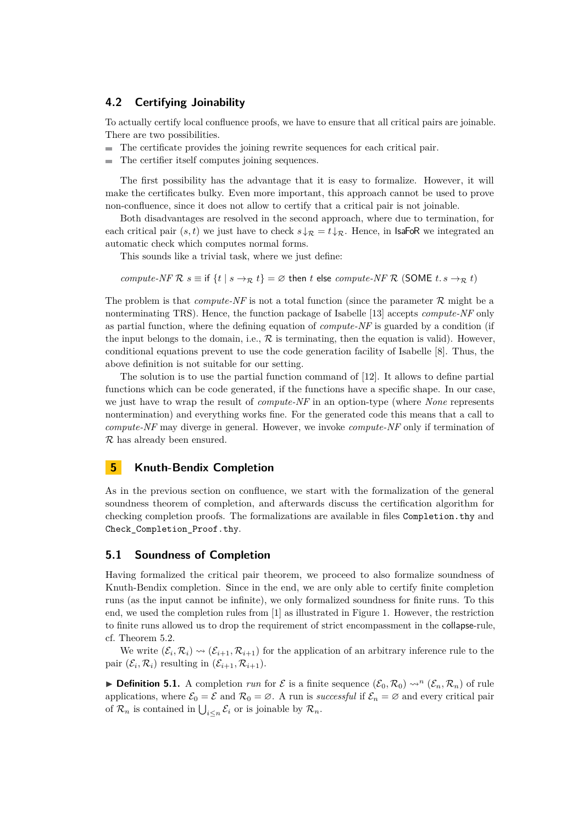#### <span id="page-9-1"></span>**4.2 Certifying Joinability**

To actually certify local confluence proofs, we have to ensure that all critical pairs are joinable. There are two possibilities.

- The certificate provides the joining rewrite sequences for each critical pair.
- The certifier itself computes joining sequences.  $\mathbf{r}$

The first possibility has the advantage that it is easy to formalize. However, it will make the certificates bulky. Even more important, this approach cannot be used to prove non-confluence, since it does not allow to certify that a critical pair is not joinable.

Both disadvantages are resolved in the second approach, where due to termination, for each critical pair  $(s, t)$  we just have to check  $s \downarrow \mathcal{R} = t \downarrow \mathcal{R}$ . Hence, in **IsaFoR** we integrated an automatic check which computes normal forms.

This sounds like a trivial task, where we just define:

*compute-NF*  $\mathcal{R} s \equiv$  if  $\{t \mid s \rightarrow_{\mathcal{R}} t\} = \emptyset$  then t else *compute-NF*  $\mathcal{R}$  (SOME t.  $s \rightarrow_{\mathcal{R}} t$ )

The problem is that *compute-NF* is not a total function (since the parameter  $\mathcal{R}$  might be a nonterminating TRS). Hence, the function package of Isabelle [\[13\]](#page-14-11) accepts *compute-NF* only as partial function, where the defining equation of *compute-NF* is guarded by a condition (if the input belongs to the domain, i.e.,  $R$  is terminating, then the equation is valid). However, conditional equations prevent to use the code generation facility of Isabelle [\[8\]](#page-14-12). Thus, the above definition is not suitable for our setting.

The solution is to use the partial function command of [\[12\]](#page-14-13). It allows to define partial functions which can be code generated, if the functions have a specific shape. In our case, we just have to wrap the result of *compute-NF* in an option-type (where *None* represents nontermination) and everything works fine. For the generated code this means that a call to *compute-NF* may diverge in general. However, we invoke *compute-NF* only if termination of R has already been ensured.

## <span id="page-9-0"></span>**5 Knuth-Bendix Completion**

As in the previous section on confluence, we start with the formalization of the general soundness theorem of completion, and afterwards discuss the certification algorithm for checking completion proofs. The formalizations are available in files Completion.thy and Check\_Completion\_Proof.thy.

#### **5.1 Soundness of Completion**

Having formalized the critical pair theorem, we proceed to also formalize soundness of Knuth-Bendix completion. Since in the end, we are only able to certify finite completion runs (as the input cannot be infinite), we only formalized soundness for finite runs. To this end, we used the completion rules from [\[1\]](#page-14-3) as illustrated in Figure [1.](#page-10-0) However, the restriction to finite runs allowed us to drop the requirement of strict encompassment in the collapse-rule, cf. Theorem [5.2.](#page-10-1)

We write  $(\mathcal{E}_i, \mathcal{R}_i) \rightsquigarrow (\mathcal{E}_{i+1}, \mathcal{R}_{i+1})$  for the application of an arbitrary inference rule to the pair  $(\mathcal{E}_i, \mathcal{R}_i)$  resulting in  $(\mathcal{E}_{i+1}, \mathcal{R}_{i+1})$ .

**Definition 5.1.** A completion *run* for  $\mathcal{E}$  is a finite sequence  $(\mathcal{E}_0, \mathcal{R}_0) \rightsquigarrow^n (\mathcal{E}_n, \mathcal{R}_n)$  of rule applications, where  $\mathcal{E}_0 = \mathcal{E}$  and  $\mathcal{R}_0 = \emptyset$ . A run is *successful* if  $\mathcal{E}_n = \emptyset$  and every critical pair of  $\mathcal{R}_n$  is contained in  $\bigcup_{i \leq n} \mathcal{E}_i$  or is joinable by  $\mathcal{R}_n$ .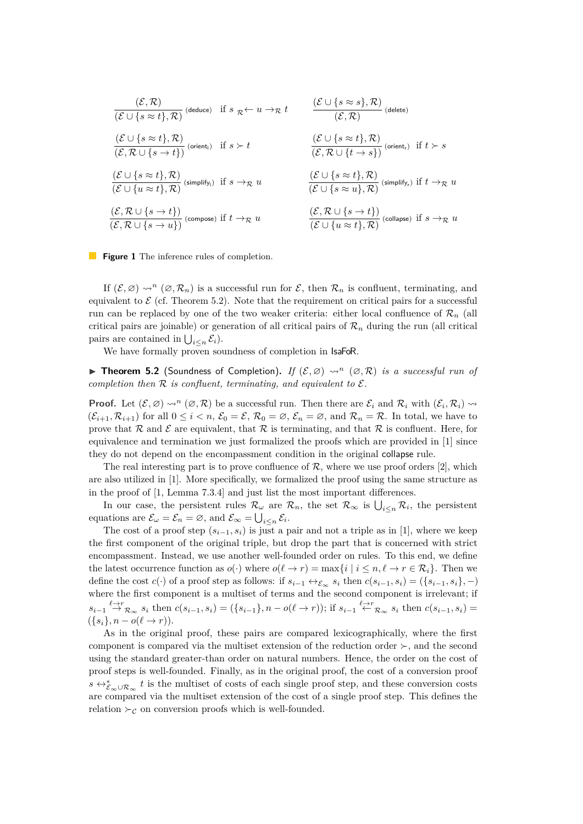<span id="page-10-0"></span>
$$
\frac{(\mathcal{E} \cup \{s \approx t\}, \mathcal{R})}{(\mathcal{E} \cup \{s \approx t\}, \mathcal{R})} (\text{deduce}) \quad \text{if } s \mathrel{\mathcal{R}} \leftarrow u \rightarrow_{\mathcal{R}} t \qquad \frac{(\mathcal{E} \cup \{s \approx s\}, \mathcal{R})}{(\mathcal{E}, \mathcal{R})} (\text{delete})
$$
\n
$$
\frac{(\mathcal{E} \cup \{s \approx t\}, \mathcal{R})}{(\mathcal{E}, \mathcal{R} \cup \{s \rightarrow t\})} (\text{orient}) \quad \text{if } s \succ t \qquad \frac{(\mathcal{E} \cup \{s \approx t\}, \mathcal{R})}{(\mathcal{E}, \mathcal{R} \cup \{t \rightarrow s\})} (\text{orient}) \quad \text{if } t \succ s
$$
\n
$$
\frac{(\mathcal{E} \cup \{s \approx t\}, \mathcal{R})}{(\mathcal{E} \cup \{u \approx t\}, \mathcal{R})} (\text{simplify}_i) \quad \text{if } s \rightarrow_{\mathcal{R}} u \qquad \frac{(\mathcal{E} \cup \{s \approx t\}, \mathcal{R})}{(\mathcal{E} \cup \{s \approx u\}, \mathcal{R})} (\text{simplify}_r) \quad \text{if } t \rightarrow_{\mathcal{R}} u
$$
\n
$$
\frac{(\mathcal{E}, \mathcal{R} \cup \{s \rightarrow t\})}{(\mathcal{E}, \mathcal{R} \cup \{s \rightarrow u\})} (\text{composite}) \quad \text{if } t \rightarrow_{\mathcal{R}} u \qquad \frac{(\mathcal{E}, \mathcal{R} \cup \{s \rightarrow t\})}{(\mathcal{E} \cup \{u \approx t\}, \mathcal{R})} (\text{collapse}) \quad \text{if } s \rightarrow_{\mathcal{R}} u
$$



If  $(\mathcal{E}, \varnothing) \rightsquigarrow^n (\varnothing, \mathcal{R}_n)$  is a successful run for  $\mathcal{E}$ , then  $\mathcal{R}_n$  is confluent, terminating, and equivalent to  $\mathcal E$  (cf. Theorem [5.2\)](#page-10-1). Note that the requirement on critical pairs for a successful run can be replaced by one of the two weaker criteria: either local confluence of  $\mathcal{R}_n$  (all critical pairs are joinable) or generation of all critical pairs of  $\mathcal{R}_n$  during the run (all critical pairs are contained in  $\bigcup_{i\leq n} \mathcal{E}_i$ .

We have formally proven soundness of completion in IsaFoR.

<span id="page-10-1"></span>**Fineorem 5.2** (Soundness of Completion). If  $(\mathcal{E}, \emptyset) \sim^n (\emptyset, \mathcal{R})$  *is a successful run of completion then*  $\mathcal R$  *is confluent, terminating, and equivalent to*  $\mathcal E$ *.* 

**Proof.** Let  $(\mathcal{E}, \varnothing) \rightsquigarrow^n (\varnothing, \mathcal{R})$  be a successful run. Then there are  $\mathcal{E}_i$  and  $\mathcal{R}_i$  with  $(\mathcal{E}_i, \mathcal{R}_i) \rightsquigarrow$  $(\mathcal{E}_{i+1}, \mathcal{R}_{i+1})$  for all  $0 \leq i < n$ ,  $\mathcal{E}_0 = \mathcal{E}, \mathcal{R}_0 = \emptyset, \mathcal{E}_n = \emptyset$ , and  $\mathcal{R}_n = \mathcal{R}$ . In total, we have to prove that  $\mathcal R$  and  $\mathcal E$  are equivalent, that  $\mathcal R$  is terminating, and that  $\mathcal R$  is confluent. Here, for equivalence and termination we just formalized the proofs which are provided in [\[1\]](#page-14-3) since they do not depend on the encompassment condition in the original collapse rule.

The real interesting part is to prove confluence of  $\mathcal{R}$ , where we use proof orders [\[2\]](#page-14-14), which are also utilized in [\[1\]](#page-14-3). More specifically, we formalized the proof using the same structure as in the proof of [\[1,](#page-14-3) Lemma 7.3.4] and just list the most important differences.

In our case, the persistent rules  $\mathcal{R}_{\omega}$  are  $\mathcal{R}_n$ , the set  $\mathcal{R}_{\infty}$  is  $\bigcup_{i\leq n}\mathcal{R}_i$ , the persistent equations are  $\mathcal{E}_{\omega} = \mathcal{E}_n = \emptyset$ , and  $\mathcal{E}_{\infty} = \bigcup_{i \leq n} \mathcal{E}_i$ .

The cost of a proof step  $(s_{i-1}, s_i)$  is just a pair and not a triple as in [\[1\]](#page-14-3), where we keep the first component of the original triple, but drop the part that is concerned with strict encompassment. Instead, we use another well-founded order on rules. To this end, we define the latest occurrence function as  $o(\cdot)$  where  $o(\ell \to r) = \max\{i \mid i \leq n, \ell \to r \in \mathcal{R}_i\}$ . Then we define the cost  $c(\cdot)$  of a proof step as follows: if  $s_{i-1} \leftrightarrow_{\mathcal{E}_{\infty}} s_i$  then  $c(s_{i-1}, s_i) = (\{s_{i-1}, s_i\}, -)$ where the first component is a multiset of terms and the second component is irrelevant; if  $s_{i-1} \stackrel{\ell \to r}{\to} \mathcal{R}_{\infty} s_i$  then  $c(s_{i-1}, s_i) = (\{s_{i-1}\}, n - o(\ell \to r));$  if  $s_{i-1} \stackrel{\ell \to r}{\leftarrow} \mathcal{R}_{\infty} s_i$  then  $c(s_{i-1}, s_i) =$  $({s_i}, n - o(\ell \rightarrow r)).$ 

As in the original proof, these pairs are compared lexicographically, where the first component is compared via the multiset extension of the reduction order  $\succ$ , and the second using the standard greater-than order on natural numbers. Hence, the order on the cost of proof steps is well-founded. Finally, as in the original proof, the cost of a conversion proof  $s \leftrightarrow_{\mathcal{E}_{\infty}\cup\mathcal{R}_{\infty}}^* t$  is the multiset of costs of each single proof step, and these conversion costs are compared via the multiset extension of the cost of a single proof step. This defines the relation  $\succ_{\mathcal{C}}$  on conversion proofs which is well-founded.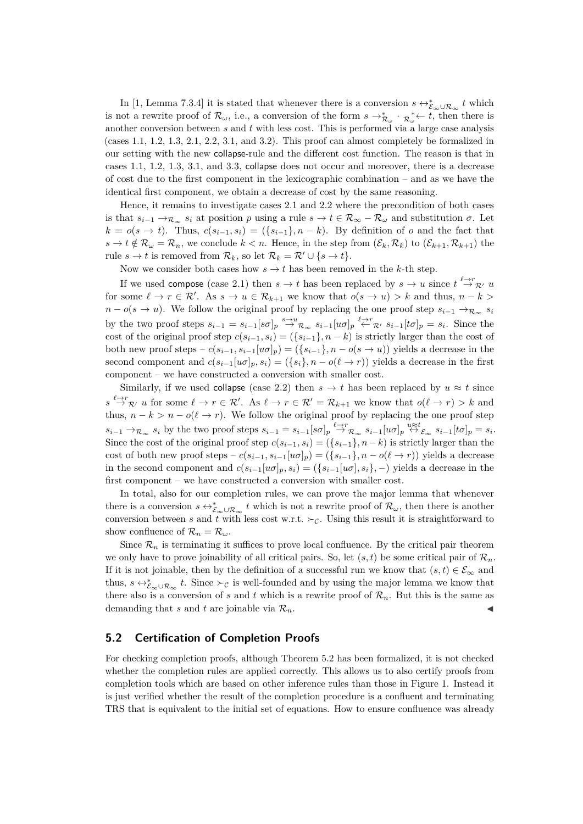In [\[1,](#page-14-3) Lemma 7.3.4] it is stated that whenever there is a conversion  $s \leftrightarrow_{\mathcal{E}_{\infty}\cup\mathcal{R}_{\infty}}^* t$  which is not a rewrite proof of  $\mathcal{R}_{\omega}$ , i.e., a conversion of the form  $s \to_{\mathcal{R}_{\omega}}^* \cdot_{\mathcal{R}_{\omega}}^* \leftarrow t$ , then there is another conversion between  $s$  and  $t$  with less cost. This is performed via a large case analysis (cases 1.1, 1.2, 1.3, 2.1, 2.2, 3.1, and 3.2). This proof can almost completely be formalized in our setting with the new collapse-rule and the different cost function. The reason is that in cases 1.1, 1.2, 1.3, 3.1, and 3.3, collapse does not occur and moreover, there is a decrease of cost due to the first component in the lexicographic combination – and as we have the identical first component, we obtain a decrease of cost by the same reasoning.

Hence, it remains to investigate cases 2.1 and 2.2 where the precondition of both cases is that  $s_{i-1} \to_{\mathcal{R}_{\infty}} s_i$  at position p using a rule  $s \to t \in \mathcal{R}_{\infty} - \mathcal{R}_{\omega}$  and substitution  $\sigma$ . Let  $k = o(s \to t)$ . Thus,  $c(s_{i-1}, s_i) = (\{s_{i-1}\}, n - k)$ . By definition of o and the fact that  $s \to t \notin \mathcal{R}_{\omega} = \mathcal{R}_n$ , we conclude  $k < n$ . Hence, in the step from  $(\mathcal{E}_k, \mathcal{R}_k)$  to  $(\mathcal{E}_{k+1}, \mathcal{R}_{k+1})$  the rule  $s \to t$  is removed from  $\mathcal{R}_k$ , so let  $\mathcal{R}_k = \mathcal{R}' \cup \{s \to t\}.$ 

Now we consider both cases how  $s \to t$  has been removed in the k-th step.

If we used compose (case 2.1) then  $s \to t$  has been replaced by  $s \to u$  since  $t \stackrel{\ell \to r}{\to} \mathcal{R}$  u for some  $\ell \to r \in \mathcal{R}'$ . As  $s \to u \in \mathcal{R}_{k+1}$  we know that  $o(s \to u) > k$  and thus,  $n - k >$  $n - o(s \to u)$ . We follow the original proof by replacing the one proof step  $s_{i-1} \to_{\mathcal{R}_{\infty}} s_i$ by the two proof steps  $s_{i-1} = s_{i-1}[s\sigma]_p \stackrel{s\to u}{\to} \mathcal{R}_{\infty} s_{i-1}[u\sigma]_p \stackrel{\ell \to r}{\leftarrow} \mathcal{R}$ ,  $s_{i-1}[t\sigma]_p = s_i$ . Since the cost of the original proof step  $c(s_{i-1}, s_i) = (\{s_{i-1}\}, n-k)$  is strictly larger than the cost of both new proof steps –  $c(s_{i-1}, s_{i-1}[u\sigma]_p) = (\{s_{i-1}\}, n - o(s \to u))$  yields a decrease in the second component and  $c(s_{i-1}[u\sigma]_p, s_i) = (\{s_i\}, n - o(\ell \to r))$  yields a decrease in the first component – we have constructed a conversion with smaller cost.

Similarly, if we used collapse (case 2.2) then  $s \to t$  has been replaced by  $u \approx t$  since  $s \stackrel{\ell \to r}{\to} \mathcal{R}$ , u for some  $\ell \to r \in \mathcal{R}'$ . As  $\ell \to r \in \mathcal{R}' = \mathcal{R}_{k+1}$  we know that  $o(\ell \to r) > k$  and thus,  $n - k > n - o(\ell \to r)$ . We follow the original proof by replacing the one proof step  $s_{i-1} \to_{\mathcal{R}_{\infty}} s_i$  by the two proof steps  $s_{i-1} = s_{i-1} [s \sigma]_p \stackrel{\ell \to r}{\to}_{\mathcal{R}_{\infty}} s_{i-1} [u \sigma]_p \stackrel{u \approx t}{\leftrightarrow} \varepsilon_{\infty} s_{i-1} [t \sigma]_p = s_i$ . Since the cost of the original proof step  $c(s_{i-1}, s_i) = (\{s_{i-1}\}, n-k)$  is strictly larger than the cost of both new proof steps –  $c(s_{i-1}, s_{i-1}[u\sigma]_p) = (\{s_{i-1}\}, n - o(\ell \to r))$  yields a decrease in the second component and  $c(s_{i-1}[u\sigma], s_i) = (\{s_{i-1}[u\sigma], s_i\}, -)$  yields a decrease in the first component – we have constructed a conversion with smaller cost.

In total, also for our completion rules, we can prove the major lemma that whenever there is a conversion  $s \leftrightarrow_{\mathcal{E}_{\infty} \cup \mathcal{R}_{\infty}}^* t$  which is not a rewrite proof of  $\mathcal{R}_{\omega}$ , then there is another conversion between s and t with less cost w.r.t.  $\succ_{\mathcal{C}}$ . Using this result it is straightforward to show confluence of  $\mathcal{R}_n = \mathcal{R}_\omega$ .

Since  $\mathcal{R}_n$  is terminating it suffices to prove local confluence. By the critical pair theorem we only have to prove joinability of all critical pairs. So, let  $(s, t)$  be some critical pair of  $\mathcal{R}_n$ . If it is not joinable, then by the definition of a successful run we know that  $(s, t) \in \mathcal{E}_{\infty}$  and thus,  $s \leftrightarrow_{\mathcal{E}_{\infty}\cup\mathcal{R}_{\infty}}^* t$ . Since  $\succ_{\mathcal{C}}$  is well-founded and by using the major lemma we know that there also is a conversion of s and t which is a rewrite proof of  $\mathcal{R}_n$ . But this is the same as demanding that s and t are joinable via  $\mathcal{R}_n$ .

#### **5.2 Certification of Completion Proofs**

For checking completion proofs, although Theorem [5.2](#page-10-1) has been formalized, it is not checked whether the completion rules are applied correctly. This allows us to also certify proofs from completion tools which are based on other inference rules than those in Figure [1.](#page-10-0) Instead it is just verified whether the result of the completion procedure is a confluent and terminating TRS that is equivalent to the initial set of equations. How to ensure confluence was already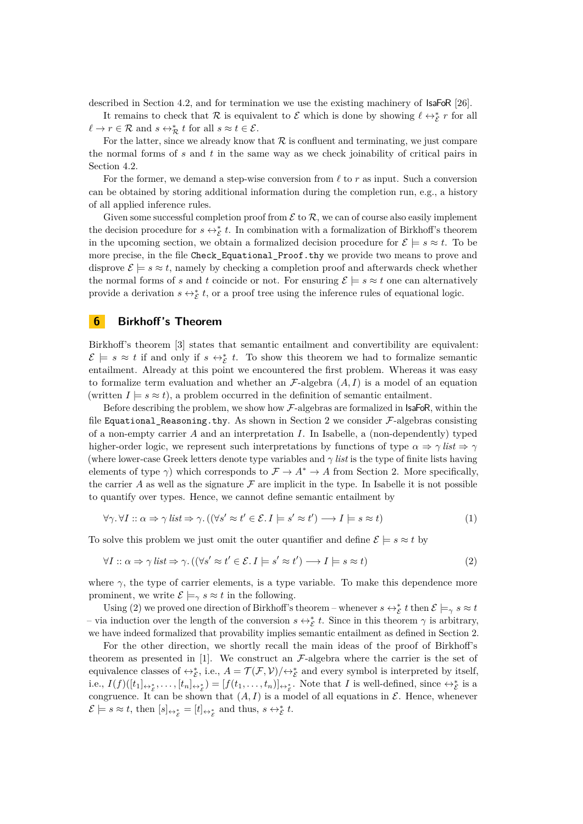described in Section [4.2,](#page-9-1) and for termination we use the existing machinery of **IsaFoR** [\[26\]](#page-15-7).

It remains to check that R is equivalent to  $\mathcal E$  which is done by showing  $\ell \leftrightarrow_{\mathcal E}^* r$  for all  $\ell \to r \in \mathcal{R}$  and  $s \leftrightarrow_{\mathcal{R}}^* t$  for all  $s \approx t \in \mathcal{E}$ .

For the latter, since we already know that  $R$  is confluent and terminating, we just compare the normal forms of  $s$  and  $t$  in the same way as we check joinability of critical pairs in Section [4.2.](#page-9-1)

For the former, we demand a step-wise conversion from  $\ell$  to r as input. Such a conversion can be obtained by storing additional information during the completion run, e.g., a history of all applied inference rules.

Given some successful completion proof from  $\mathcal E$  to  $\mathcal R$ , we can of course also easily implement the decision procedure for  $s \leftrightarrow_{\mathcal{E}}^* t$ . In combination with a formalization of Birkhoff's theorem in the upcoming section, we obtain a formalized decision procedure for  $\mathcal{E} \models s \approx t$ . To be more precise, in the file Check\_Equational\_Proof.thy we provide two means to prove and disprove  $\mathcal{E} \models s \approx t$ , namely by checking a completion proof and afterwards check whether the normal forms of s and t coincide or not. For ensuring  $\mathcal{E} \models s \approx t$  one can alternatively provide a derivation  $s \leftrightarrow_{\mathcal{E}}^* t$ , or a proof tree using the inference rules of equational logic.

#### <span id="page-12-0"></span>**6 Birkhoff 's Theorem**

Birkhoff's theorem [\[3\]](#page-14-2) states that semantic entailment and convertibility are equivalent:  $\mathcal{E} \models s \approx t$  if and only if  $s \leftrightarrow_{\mathcal{E}}^* t$ . To show this theorem we had to formalize semantic entailment. Already at this point we encountered the first problem. Whereas it was easy to formalize term evaluation and whether an  $\mathcal{F}\text{-algebra } (A, I)$  is a model of an equation (written  $I \models s \approx t$ ), a problem occurred in the definition of semantic entailment.

Before describing the problem, we show how  $\mathcal{F}\text{-algebras}$  are formalized in **IsaFoR**, within the file Equational\_Reasoning.thy. As shown in Section [2](#page-1-0) we consider  $\mathcal{F}\text{-algebras consisting}$ of a non-empty carrier  $A$  and an interpretation  $I$ . In Isabelle, a (non-dependently) typed higher-order logic, we represent such interpretations by functions of type  $\alpha \Rightarrow \gamma$  *list*  $\Rightarrow \gamma$ (where lower-case Greek letters denote type variables and  $\gamma$  *list* is the type of finite lists having elements of type  $\gamma$ ) which corresponds to  $\mathcal{F} \to A^* \to A$  from Section [2.](#page-1-0) More specifically, the carrier A as well as the signature  $\mathcal F$  are implicit in the type. In Isabelle it is not possible to quantify over types. Hence, we cannot define semantic entailment by

<span id="page-12-2"></span><span id="page-12-1"></span>
$$
\forall \gamma. \forall I :: \alpha \Rightarrow \gamma \text{ list} \Rightarrow \gamma. ((\forall s' \approx t' \in \mathcal{E}. I \models s' \approx t') \rightarrow I \models s \approx t)
$$
(1)

To solve this problem we just omit the outer quantifier and define  $\mathcal{E} \models s \approx t$  by

$$
\forall I :: \alpha \Rightarrow \gamma \text{ list} \Rightarrow \gamma. ((\forall s' \approx t' \in \mathcal{E}. I \models s' \approx t') \rightarrow I \models s \approx t)
$$
\n
$$
(2)
$$

where  $\gamma$ , the type of carrier elements, is a type variable. To make this dependence more prominent, we write  $\mathcal{E} \models_{\gamma} s \approx t$  in the following.

Using [\(2\)](#page-12-1) we proved one direction of Birkhoff's theorem – whenever  $s \leftrightarrow^*_{\mathcal{E}} t$  then  $\mathcal{E} \models_{\gamma} s \approx t$ – via induction over the length of the conversion  $s \leftrightarrow^*_{\mathcal{E}} t$ . Since in this theorem γ is arbitrary, we have indeed formalized that provability implies semantic entailment as defined in Section [2.](#page-1-0)

For the other direction, we shortly recall the main ideas of the proof of Birkhoff's theorem as presented in  $[1]$ . We construct an  $\mathcal{F}\text{-algebra}$  where the carrier is the set of equivalence classes of  $\leftrightarrow_{\mathcal{E}}^*$ , i.e.,  $A = \mathcal{T}(\mathcal{F}, \mathcal{V})/\leftrightarrow_{\mathcal{E}}^*$  and every symbol is interpreted by itself, i.e.,  $I(f)([t_1]_{\leftrightarrow_{\mathcal{E}}}^*,\ldots,[t_n]_{\leftrightarrow_{\mathcal{E}}^*})=[f(t_1,\ldots,t_n)]_{\leftrightarrow_{\mathcal{E}}^*}$ . Note that I is well-defined, since  $\leftrightarrow_{\mathcal{E}}^*$  is a congruence. It can be shown that  $(A, I)$  is a model of all equations in  $\mathcal{E}$ . Hence, whenever  $\mathcal{E} \models s \approx t$ , then  $[s]_{\leftrightarrow_{\mathcal{E}}^*} = [t]_{\leftrightarrow_{\mathcal{E}}^*}$  and thus,  $s \leftrightarrow_{\mathcal{E}}^* t$ .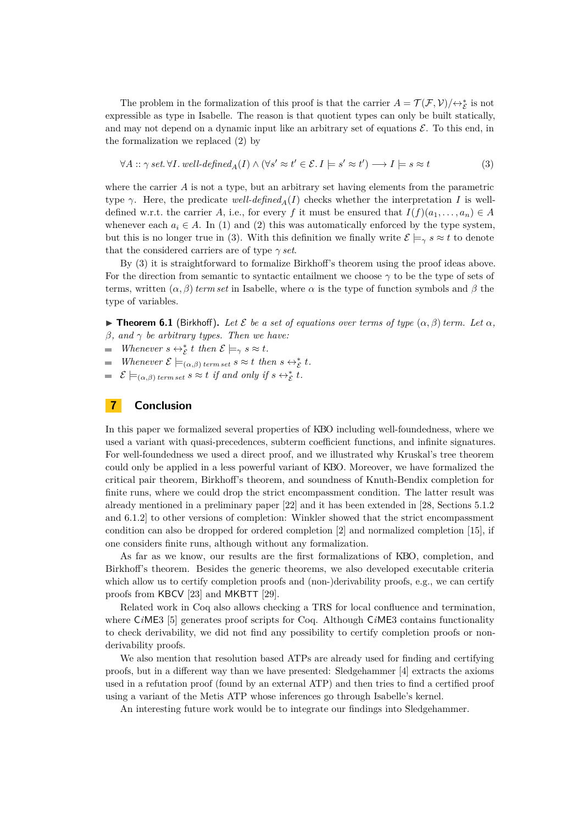The problem in the formalization of this proof is that the carrier  $A = \mathcal{T}(\mathcal{F}, V)/\leftrightarrow_{\mathcal{E}}^*$  is not expressible as type in Isabelle. The reason is that quotient types can only be built statically, and may not depend on a dynamic input like an arbitrary set of equations  $\mathcal{E}$ . To this end, in the formalization we replaced [\(2\)](#page-12-1) by

<span id="page-13-1"></span>
$$
\forall A :: \gamma \ set. \ \forall I. \ well-defined_A(I) \land (\forall s' \approx t' \in \mathcal{E}. I \models s' \approx t') \longrightarrow I \models s \approx t \tag{3}
$$

where the carrier  $A$  is not a type, but an arbitrary set having elements from the parametric type  $\gamma$ . Here, the predicate *well-defined*<sub>A</sub>(I) checks whether the interpretation I is welldefined w.r.t. the carrier A, i.e., for every f it must be ensured that  $I(f)(a_1, \ldots, a_n) \in A$ whenever each  $a_i \in A$ . In [\(1\)](#page-12-2) and [\(2\)](#page-12-1) this was automatically enforced by the type system, but this is no longer true in [\(3\)](#page-13-1). With this definition we finally write  $\mathcal{E} \models_{\gamma} s \approx t$  to denote that the considered carriers are of type  $\gamma$  *set*.

By [\(3\)](#page-13-1) it is straightforward to formalize Birkhoff's theorem using the proof ideas above. For the direction from semantic to syntactic entailment we choose  $\gamma$  to be the type of sets of terms, written  $(\alpha, \beta)$  term set in Isabelle, where  $\alpha$  is the type of function symbols and  $\beta$  the type of variables.

**Find 5.1** (Birkhoff). Let  $\mathcal{E}$  be a set of equations over terms of type  $(\alpha, \beta)$  term. Let  $\alpha$ , β*, and* γ *be arbitrary types. Then we have:*

*Whenever*  $s \leftrightarrow_{\varepsilon}^* t$  *then*  $\varepsilon \models_{\gamma} s \approx t$ *.* 

*Whenever*  $\mathcal{E} \models_{(\alpha,\beta) \text{ terms set } S \approx t \text{ then } s \leftrightarrow^*_{\mathcal{E}} t$ .

 $\mathcal{E} \models_{(\alpha,\beta) \text{ terms set}} s \approx t \text{ if and only if } s \leftrightarrow_{\mathcal{E}}^* t.$ 

#### <span id="page-13-0"></span>**7 Conclusion**

In this paper we formalized several properties of KBO including well-foundedness, where we used a variant with quasi-precedences, subterm coefficient functions, and infinite signatures. For well-foundedness we used a direct proof, and we illustrated why Kruskal's tree theorem could only be applied in a less powerful variant of KBO. Moreover, we have formalized the critical pair theorem, Birkhoff's theorem, and soundness of Knuth-Bendix completion for finite runs, where we could drop the strict encompassment condition. The latter result was already mentioned in a preliminary paper [\[22\]](#page-15-8) and it has been extended in [\[28,](#page-15-9) Sections 5.1.2 and 6.1.2] to other versions of completion: Winkler showed that the strict encompassment condition can also be dropped for ordered completion [\[2\]](#page-14-14) and normalized completion [\[15\]](#page-14-15), if one considers finite runs, although without any formalization.

As far as we know, our results are the first formalizations of KBO, completion, and Birkhoff's theorem. Besides the generic theorems, we also developed executable criteria which allow us to certify completion proofs and (non-)derivability proofs, e.g., we can certify proofs from KBCV [\[23\]](#page-15-10) and MKBTT [\[29\]](#page-15-11).

Related work in Coq also allows checking a TRS for local confluence and termination, where C*i*ME3 [\[5\]](#page-14-16) generates proof scripts for Coq. Although C*i*ME3 contains functionality to check derivability, we did not find any possibility to certify completion proofs or nonderivability proofs.

We also mention that resolution based ATPs are already used for finding and certifying proofs, but in a different way than we have presented: Sledgehammer [\[4\]](#page-14-17) extracts the axioms used in a refutation proof (found by an external ATP) and then tries to find a certified proof using a variant of the Metis ATP whose inferences go through Isabelle's kernel.

An interesting future work would be to integrate our findings into Sledgehammer.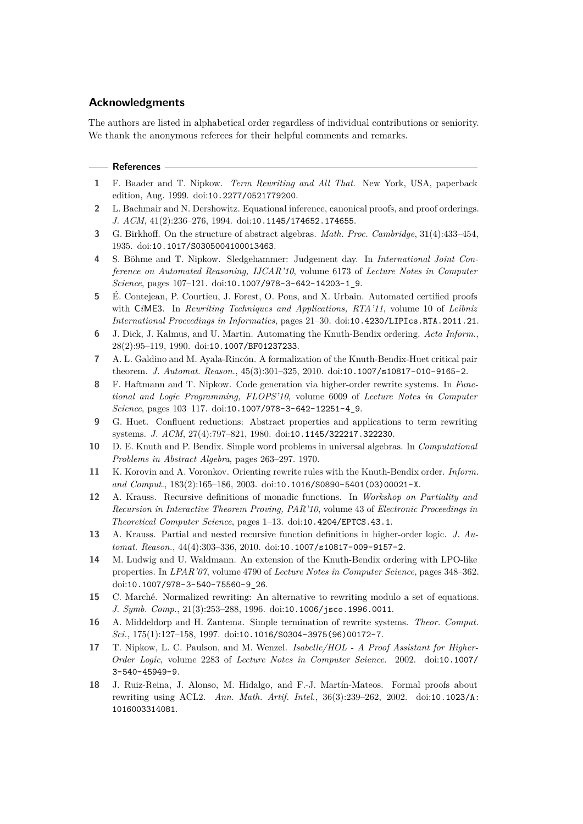## **Acknowledgments**

The authors are listed in alphabetical order regardless of individual contributions or seniority. We thank the anonymous referees for their helpful comments and remarks.

#### **References**

- <span id="page-14-3"></span>**1** F. Baader and T. Nipkow. *Term Rewriting and All That*. New York, USA, paperback edition, Aug. 1999. doi:[10.2277/0521779200](http://dx.doi.org/10.2277/0521779200).
- <span id="page-14-14"></span>**2** L. Bachmair and N. Dershowitz. Equational inference, canonical proofs, and proof orderings. *J. ACM*, 41(2):236–276, 1994. doi:[10.1145/174652.174655](http://dx.doi.org/10.1145/174652.174655).
- <span id="page-14-2"></span>**3** G. Birkhoff. On the structure of abstract algebras. *Math. Proc. Cambridge*, 31(4):433–454, 1935. doi:[10.1017/S0305004100013463](http://dx.doi.org/10.1017/S0305004100013463).
- <span id="page-14-17"></span>**4** S. Böhme and T. Nipkow. Sledgehammer: Judgement day. In *International Joint Conference on Automated Reasoning, IJCAR'10*, volume 6173 of *Lecture Notes in Computer Science*, pages 107–121. doi:[10.1007/978-3-642-14203-1\\_9](http://dx.doi.org/10.1007/978-3-642-14203-1_9).
- <span id="page-14-16"></span>**5** É. Contejean, P. Courtieu, J. Forest, O. Pons, and X. Urbain. Automated certified proofs with C*i*ME3. In *Rewriting Techniques and Applications, RTA'11*, volume 10 of *Leibniz International Proceedings in Informatics*, pages 21–30. doi:[10.4230/LIPIcs.RTA.2011.21](http://dx.doi.org/10.4230/LIPIcs.RTA.2011.21).
- <span id="page-14-4"></span>**6** J. Dick, J. Kalmus, and U. Martin. Automating the Knuth-Bendix ordering. *Acta Inform.*, 28(2):95–119, 1990. doi:[10.1007/BF01237233](http://dx.doi.org/10.1007/BF01237233).
- <span id="page-14-10"></span>**7** A. L. Galdino and M. Ayala-Rincón. A formalization of the Knuth-Bendix-Huet critical pair theorem. *J. Automat. Reason.*, 45(3):301–325, 2010. doi:[10.1007/s10817-010-9165-2](http://dx.doi.org/10.1007/s10817-010-9165-2).
- <span id="page-14-12"></span>**8** F. Haftmann and T. Nipkow. Code generation via higher-order rewrite systems. In *Functional and Logic Programming, FLOPS'10*, volume 6009 of *Lecture Notes in Computer Science*, pages 103–117. doi:[10.1007/978-3-642-12251-4\\_9](http://dx.doi.org/10.1007/978-3-642-12251-4_9).
- <span id="page-14-8"></span>**9** G. Huet. Confluent reductions: Abstract properties and applications to term rewriting systems. *J. ACM*, 27(4):797–821, 1980. doi:[10.1145/322217.322230](http://dx.doi.org/10.1145/322217.322230).
- <span id="page-14-0"></span>**10** D. E. Knuth and P. Bendix. Simple word problems in universal algebras. In *Computational Problems in Abstract Algebra*, pages 263–297. 1970.
- <span id="page-14-6"></span>**11** K. Korovin and A. Voronkov. Orienting rewrite rules with the Knuth-Bendix order. *Inform. and Comput.*, 183(2):165–186, 2003. doi:[10.1016/S0890-5401\(03\)00021-X](http://dx.doi.org/10.1016/S0890-5401(03)00021-X).
- <span id="page-14-13"></span>**12** A. Krauss. Recursive definitions of monadic functions. In *Workshop on Partiality and Recursion in Interactive Theorem Proving, PAR'10*, volume 43 of *Electronic Proceedings in Theoretical Computer Science*, pages 1–13. doi:[10.4204/EPTCS.43.1](http://dx.doi.org/10.4204/EPTCS.43.1).
- <span id="page-14-11"></span>**13** A. Krauss. Partial and nested recursive function definitions in higher-order logic. *J. Automat. Reason.*, 44(4):303–336, 2010. doi:[10.1007/s10817-009-9157-2](http://dx.doi.org/10.1007/s10817-009-9157-2).
- <span id="page-14-5"></span>**14** M. Ludwig and U. Waldmann. An extension of the Knuth-Bendix ordering with LPO-like properties. In *LPAR'07*, volume 4790 of *Lecture Notes in Computer Science*, pages 348–362. doi:[10.1007/978-3-540-75560-9\\_26](http://dx.doi.org/10.1007/978-3-540-75560-9_26).
- <span id="page-14-15"></span>**15** C. Marché. Normalized rewriting: An alternative to rewriting modulo a set of equations. *J. Symb. Comp.*, 21(3):253–288, 1996. doi:[10.1006/jsco.1996.0011](http://dx.doi.org/10.1006/jsco.1996.0011).
- <span id="page-14-7"></span>**16** A. Middeldorp and H. Zantema. Simple termination of rewrite systems. *Theor. Comput. Sci.*, 175(1):127–158, 1997. doi:[10.1016/S0304-3975\(96\)00172-7](http://dx.doi.org/10.1016/S0304-3975(96)00172-7).
- <span id="page-14-1"></span>**17** T. Nipkow, L. C. Paulson, and M. Wenzel. *Isabelle/HOL - A Proof Assistant for Higher-Order Logic*, volume 2283 of *Lecture Notes in Computer Science*. 2002. doi:[10.1007/](http://dx.doi.org/10.1007/3-540-45949-9) [3-540-45949-9](http://dx.doi.org/10.1007/3-540-45949-9).
- <span id="page-14-9"></span>**18** J. Ruiz-Reina, J. Alonso, M. Hidalgo, and F.-J. Martín-Mateos. Formal proofs about rewriting using ACL2. *Ann. Math. Artif. Intel.*, 36(3):239–262, 2002. doi:[10.1023/A:](http://dx.doi.org/10.1023/A:1016003314081) [1016003314081](http://dx.doi.org/10.1023/A:1016003314081).